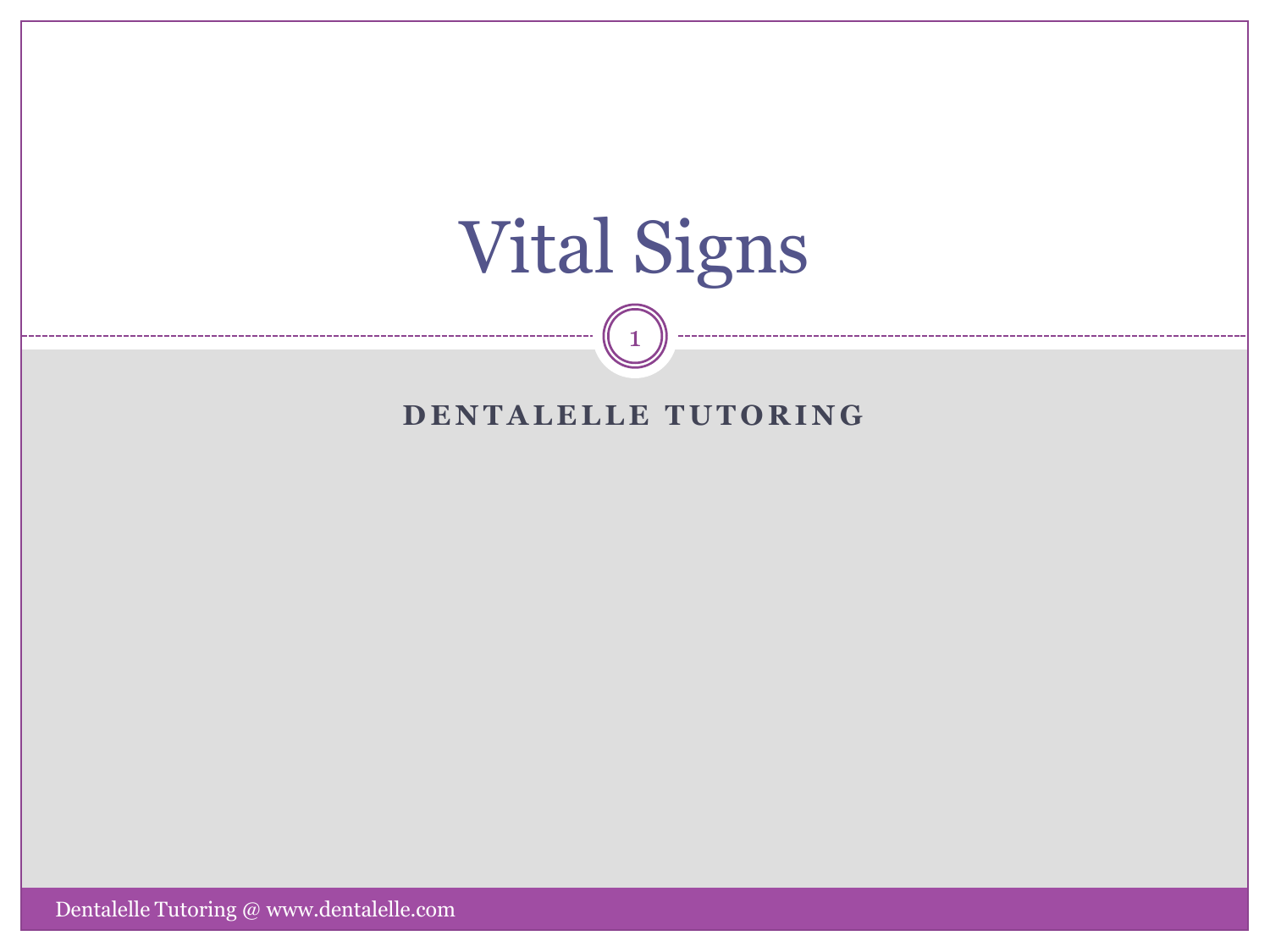

#### **DENTALELLE TUTORING**

1

Dentalelle Tutoring  $@$  www.dentalelle.com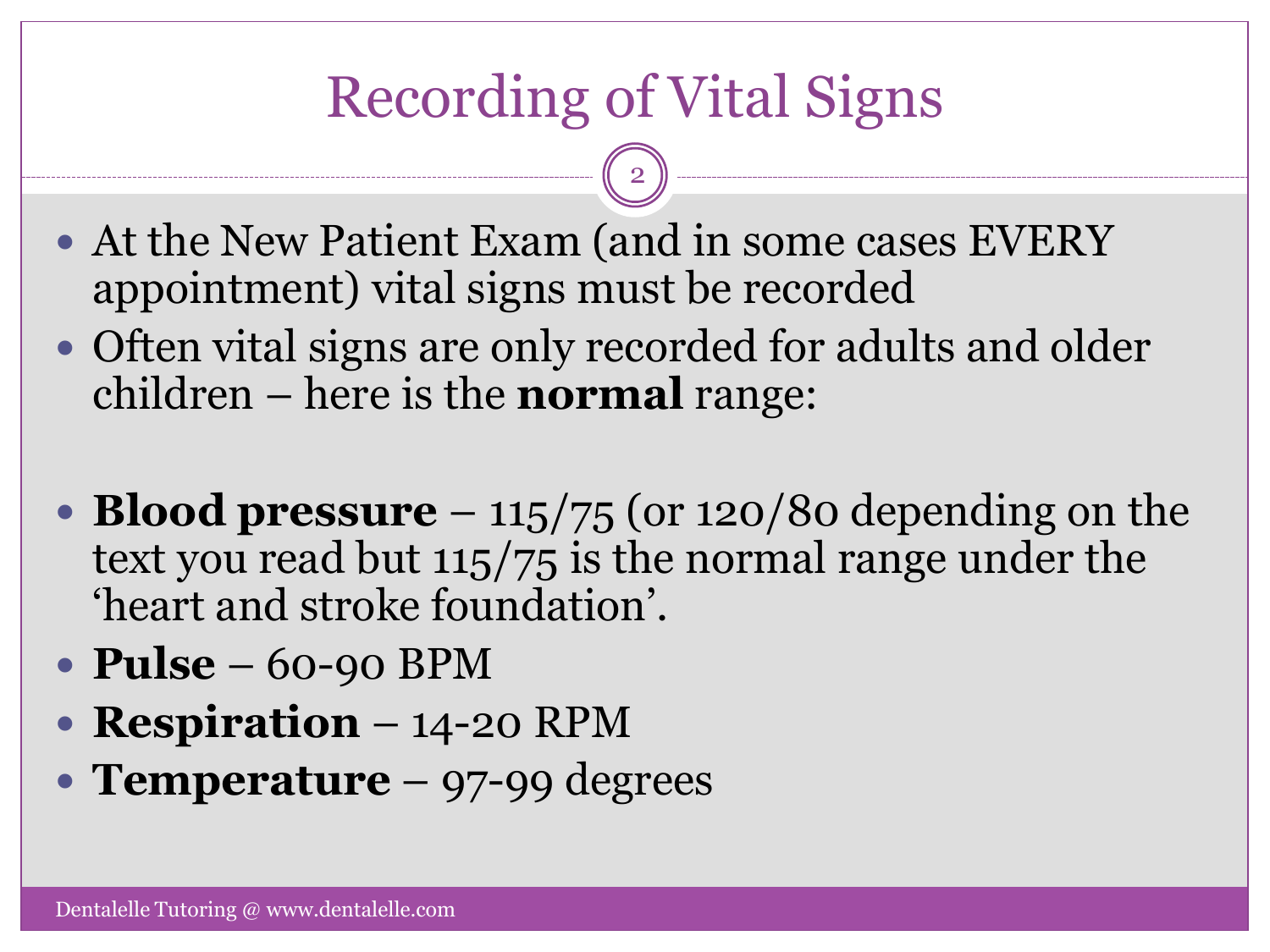# Recording of Vital Signs

- At the New Patient Exam (and in some cases EVERY appointment) vital signs must be recorded
- Often vital signs are only recorded for adults and older children – here is the **normal** range:
- **Blood pressure**  $-115/75$  (or 120/80 depending on the text you read but 115/75 is the normal range under the 'heart and stroke foundation'.
- **Pulse** 60-90 BPM
- **Respiration** 14-20 RPM
- **Temperature** 97-99 degrees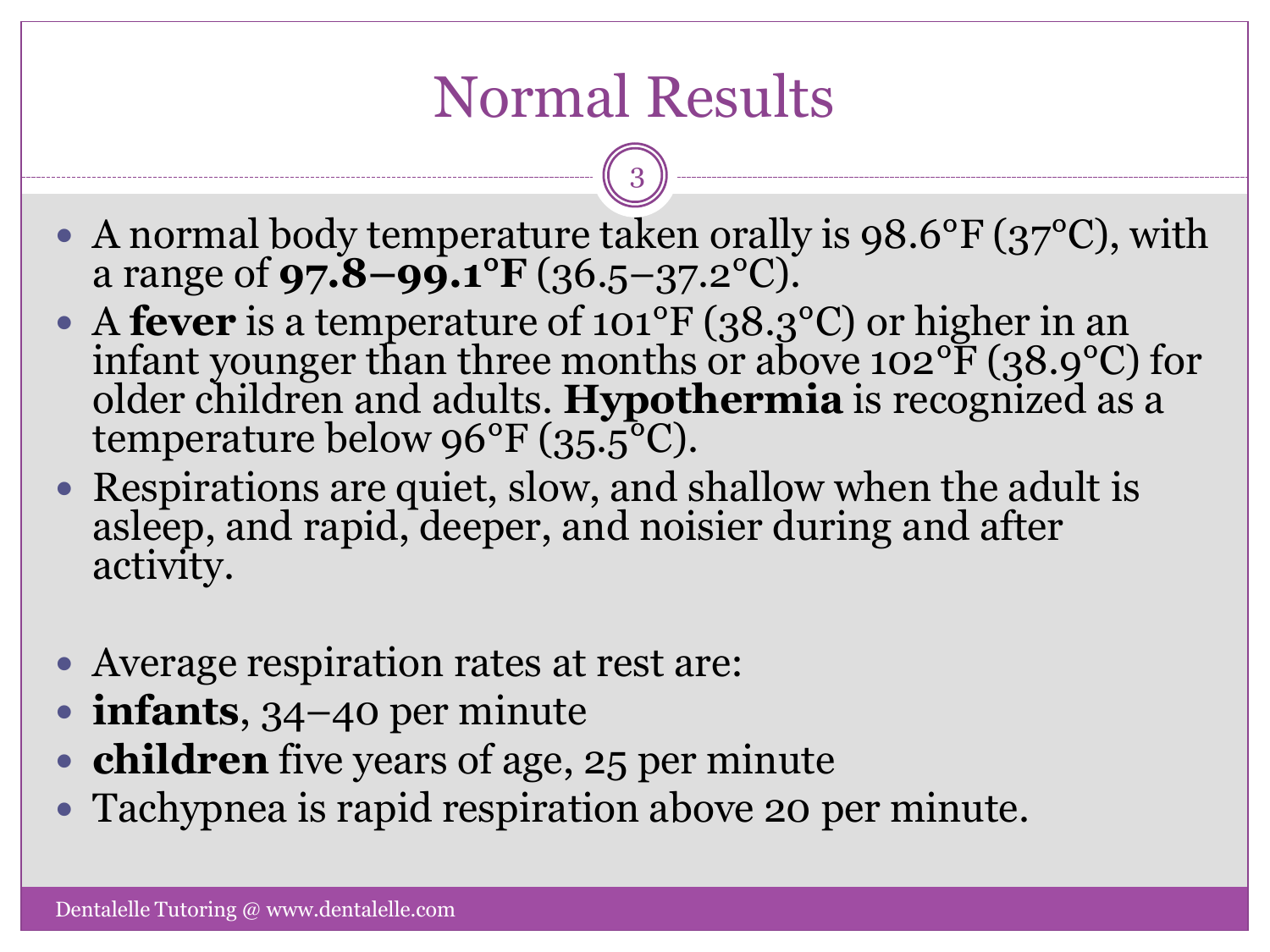## Normal Results

• A normal body temperature taken orally is 98.6°F (37°C), with a range of **97.8–99.1°F** (36.5–37.2°C).

- A **fever** is a temperature of 101°F (38.3°C) or higher in an infant younger than three months or above 102 $\rm{^oF}$  (38.9 $\rm{^oC}$ ) for older children and adults. **Hypothermia** is recognized as a temperature below  $96^{\circ}F(35.5^{\circ}C)$ .
- Respirations are quiet, slow, and shallow when the adult is asleep, and rapid, deeper, and noisier during and after activity.
- Average respiration rates at rest are:
- **infants**, 34–40 per minute
- **children** five years of age, 25 per minute
- Tachypnea is rapid respiration above 20 per minute.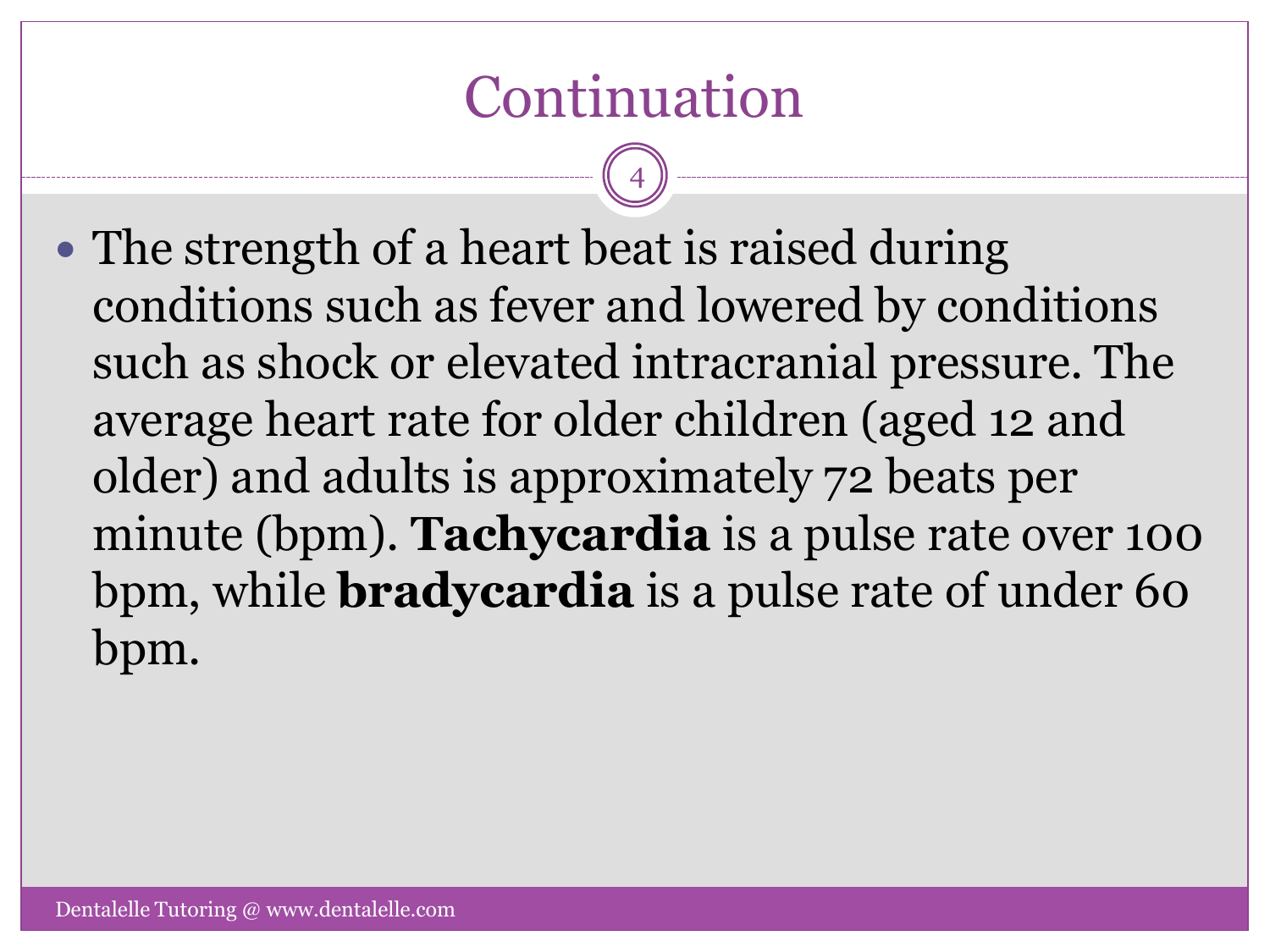## Continuation

4

• The strength of a heart beat is raised during conditions such as fever and lowered by conditions such as shock or elevated intracranial pressure. The average heart rate for older children (aged 12 and older) and adults is approximately 72 beats per minute (bpm). **Tachycardia** is a pulse rate over 100 bpm, while **bradycardia** is a pulse rate of under 60 bpm.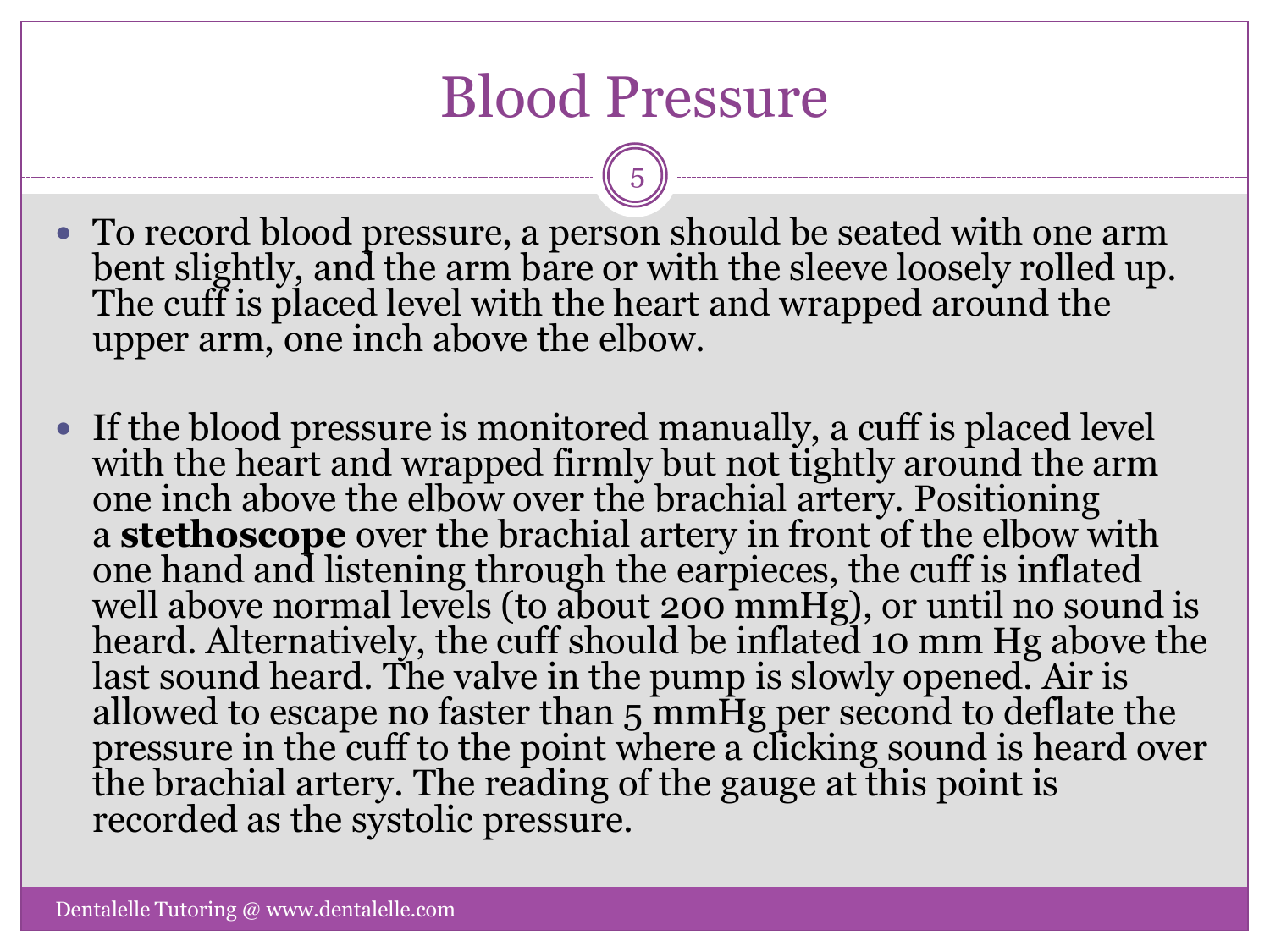## Blood Pressure

5

 To record blood pressure, a person should be seated with one arm bent slightly, and the arm bare or with the sleeve loosely rolled up. The cuff is placed level with the heart and wrapped around the upper arm, one inch above the elbow.

 If the blood pressure is monitored manually, a cuff is placed level with the heart and wrapped firmly but not tightly around the arm one inch above the elbow over the brachial artery. Positioning a **stethoscope** over the brachial artery in front of the elbow with one hand and listening through the earpieces, the cuff is inflated well above normal levels (to about 200 mmHg), or until no sound is heard. Alternatively, the cuff should be inflated 10 mm Hg above the last sound heard. The valve in the pump is slowly opened. Air is allowed to escape no faster than 5 mmHg per second to deflate the pressure in the cuff to the point where a clicking sound is heard over the brachial artery. The reading of the gauge at this point is recorded as the systolic pressure.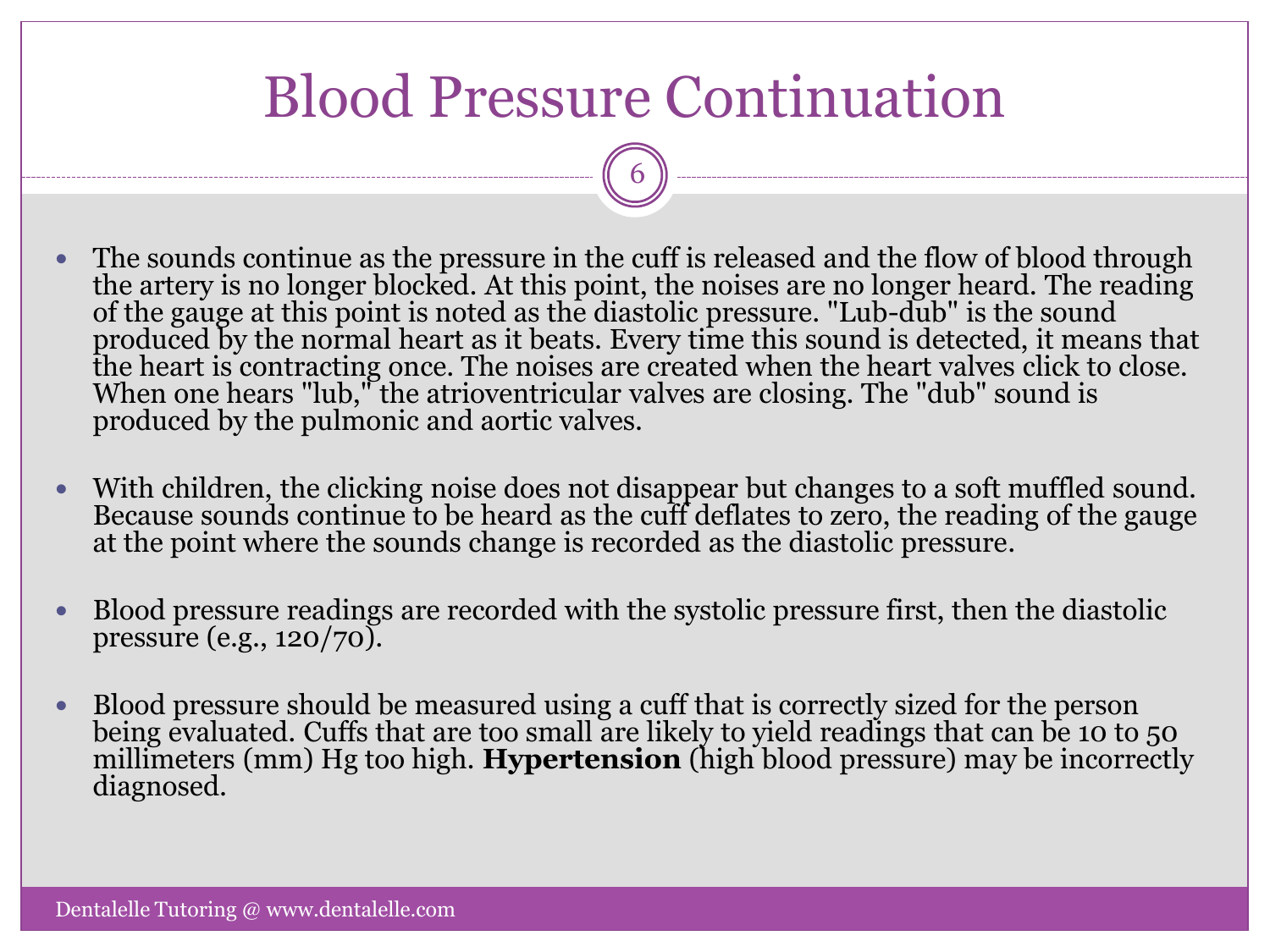## Blood Pressure Continuation

- The sounds continue as the pressure in the cuff is released and the flow of blood through the artery is no longer blocked. At this point, the noises are no longer heard. The reading of the gauge at this point is noted as the diastolic pressure. "Lub-dub" is the sound produced by the normal heart as it beats. Every time this sound is detected, it means that the heart is contracting once. The noises are created when the heart valves click to close. When one hears "lub," the atrioventricular valves are closing. The "dub" sound is produced by the pulmonic and aortic valves.
- With children, the clicking noise does not disappear but changes to a soft muffled sound. Because sounds continue to be heard as the cuff deflates to zero, the reading of the gauge at the point where the sounds change is recorded as the diastolic pressure.
- Blood pressure readings are recorded with the systolic pressure first, then the diastolic pressure (e.g., 120/70).
- Blood pressure should be measured using a cuff that is correctly sized for the person being evaluated. Cuffs that are too small are likely to yield readings that can be 10 to 50 millimeters (mm) Hg too high. **Hypertension** (high blood pressure) may be incorrectly diagnosed.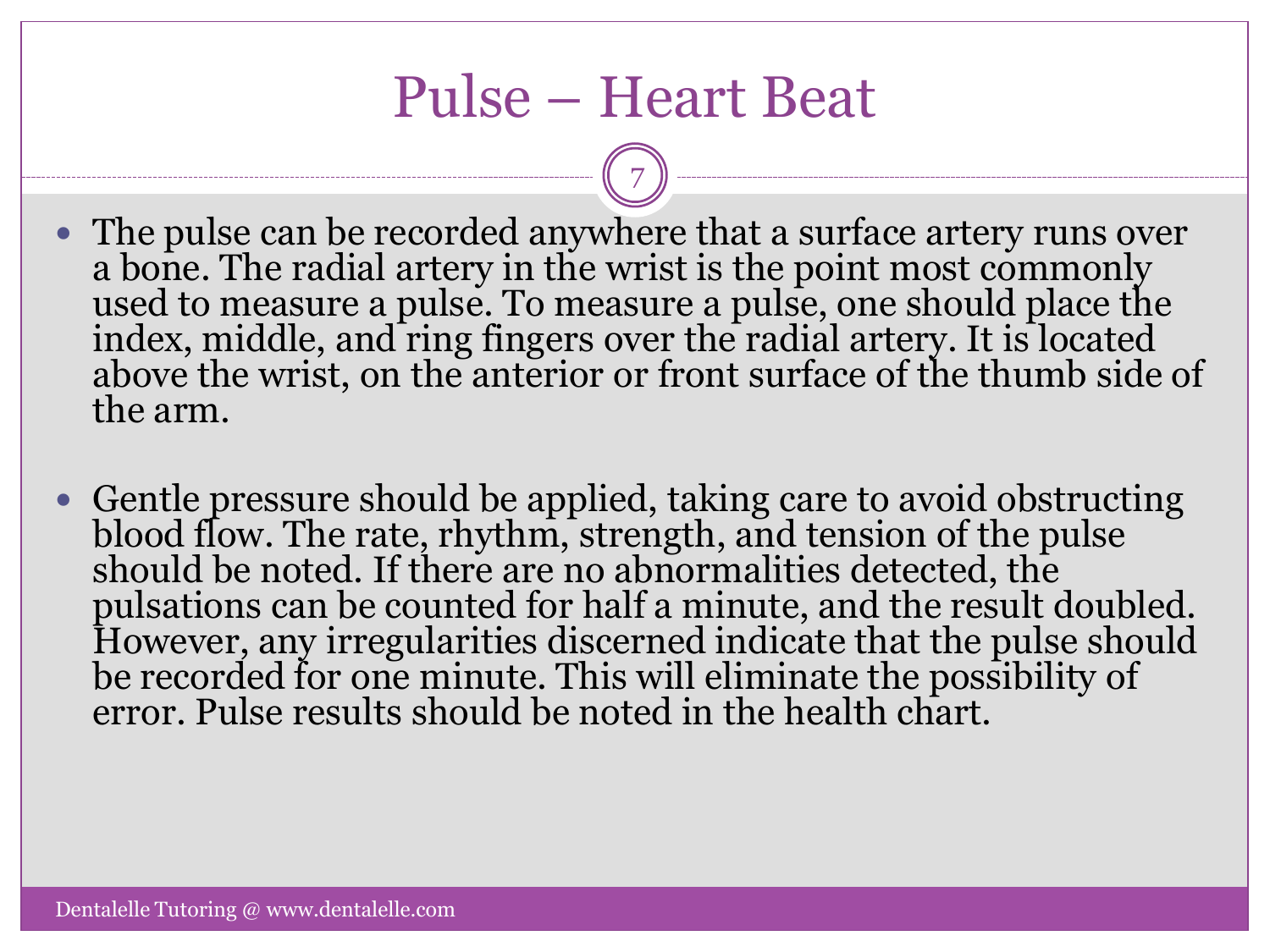### Pulse – Heart Beat

- The pulse can be recorded anywhere that a surface artery runs over a bone. The radial artery in the wrist is the point most commonly used to measure a pulse. To measure a pulse, one should place the index, middle, and ring fingers over the radial artery. It is located above the wrist, on the anterior or front surface of the thumb side of the arm.
- Gentle pressure should be applied, taking care to avoid obstructing blood flow. The rate, rhythm, strength, and tension of the pulse should be noted. If there are no abnormalities detected, the pulsations can be counted for half a minute, and the result doubled. However, any irregularities discerned indicate that the pulse should be recorded for one minute. This will eliminate the possibility of error. Pulse results should be noted in the health chart.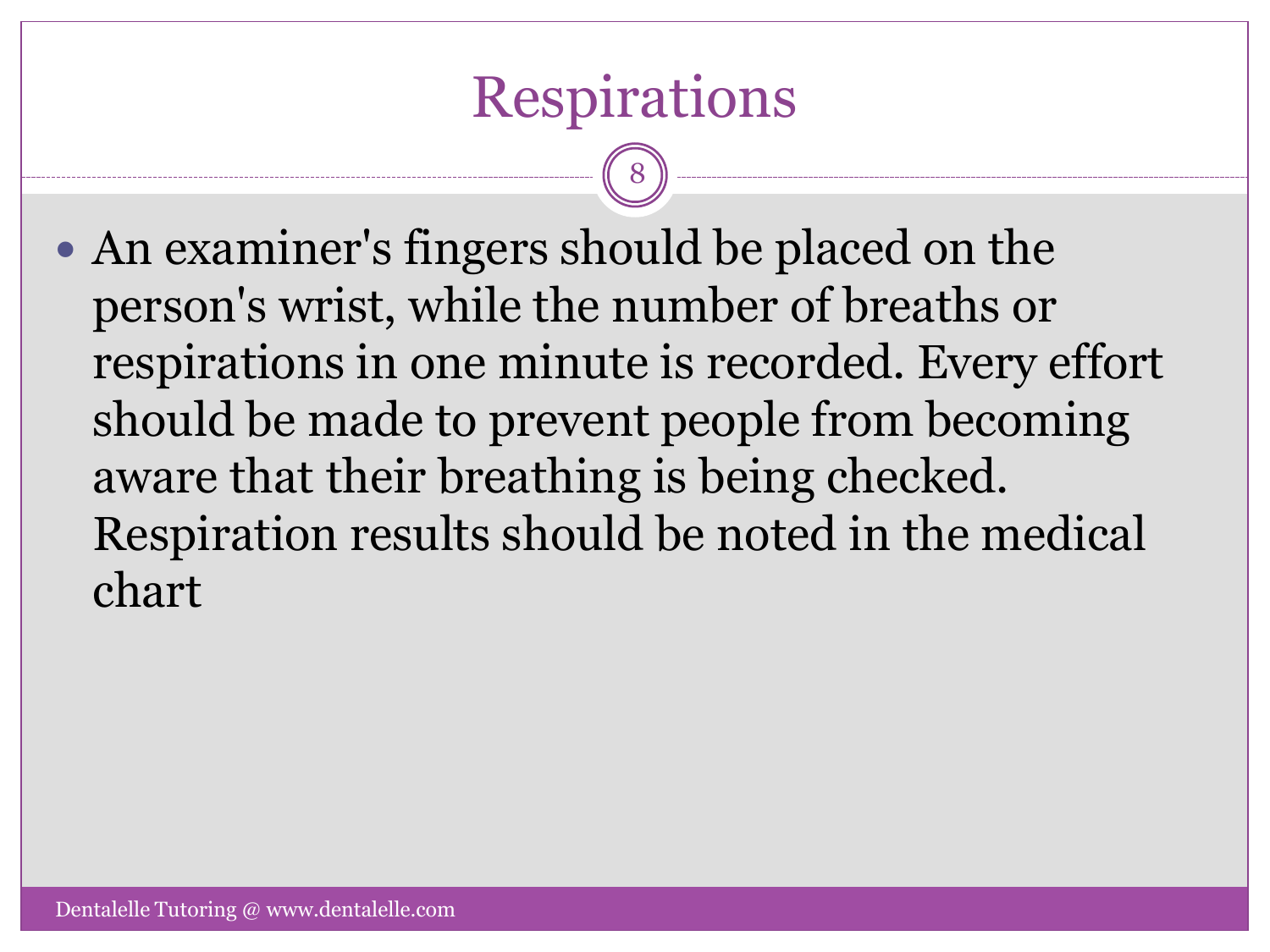## Respirations

8

 An examiner's fingers should be placed on the person's wrist, while the number of breaths or respirations in one minute is recorded. Every effort should be made to prevent people from becoming aware that their breathing is being checked. Respiration results should be noted in the medical chart